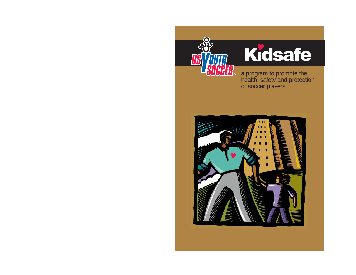

a program to promote the health, safety and protection of soccer players.

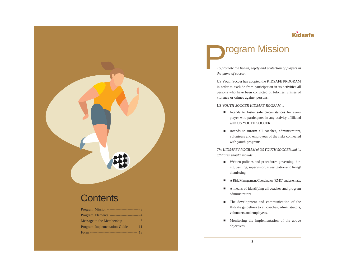### **Contents**

| Program Mission ---------------------------- 3 |  |
|------------------------------------------------|--|
|                                                |  |
| Message to the Membership---------------- 5    |  |
| Program Implementation Guide ------- 11        |  |
|                                                |  |

# **Program Mission**<br>*To promote the health, safety and protection of players in*

*the game of soccer.*

US Youth Soccer has adopted the KIDSAFE PROGRAM in order to exclude from participation in its activities all persons who have been convicted of felonies, crimes of violence or crimes against persons.

*US YOUTH SOCCER KIDSAFE ROGRAM…*

- Intends to foster safe circumstances for every player who participates in any activity affiliated with US YOUTH SOCCER.
- Intends to inform all coaches, administrators, volunteers and employees of the risks connected with youth programs.

*The KIDSAFE PROGRAM of US YOUTH SOCCER and its affiliates should include…*

- Written policies and procedures governing, hiring, training, supervision, investigation and firing/ dismissing.
- A Risk Management Coordinator (RMC) and alternate.
- A means of identifying all coaches and program administrators.
- $\blacksquare$  The development and communication of the Kidsafe guidelines to all coaches, administrators, volunteers and employees.
- **Monitoring the implementation of the above** objectives.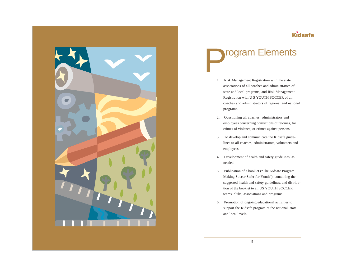

## rogram Elements

- 1. Risk Management Registration with the state associations of all coaches and administrators of state and local programs, and Risk Management Registration with U S YOUTH SOCCER of all coaches and administrators of regional and national programs.
- 2. Questioning all coaches, administrators and employees concerning convictions of felonies, for crimes of violence, or crimes against persons.
- 3. To develop and communicate the Kidsafe guidelines to all coaches, administrators, volunteers and employees.
- 4. Development of health and safety guidelines, as needed.
- 5. Publication of a booklet ("The Kidsafe Program: Making Soccer Safer for Youth") containing the suggested health and safety guidelines, and distribution of the booklet to all US YOUTH SOCCER teams, clubs, associations and programs.
- 6. Promotion of ongoing educational activities to support the Kidsafe program at the national, state and local levels.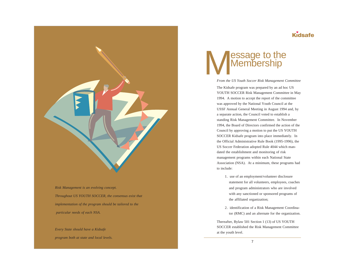

*Risk Management is an evolving concept. Throughout US YOUTH SOCCER, the consensus exist that implementation of the program should be tailored to the particular needs of each NSA.*

*Every State should have a Kidsafe program both at state and local levels.*



*From the US Youth Soccer Risk Management Committee* The Kidsafe program was prepared by an ad hoc US YOUTH SOCCER Risk Management Committee in May 1994. A motion to accept the report of the committee was approved by the National Youth Council at the USSF Annual General Meeting in August 1994 and, by a separate action, the Council voted to establish a standing Risk Management Committee. In November 1994, the Board of Directors confirmed the action of the Council by approving a motion to put the US YOUTH SOCCER Kidsafe program into place immediately. In the Official Administrative Rule Book (1995-1996), the US Soccer Federation adopted Rule 4044 which mandated the establishment and monitoring of risk management programs within each National State Association (NSA). At a minimum, these programs had to include:

- 1. use of an employment/volunteer disclosure statement for all volunteers, employees, coaches and program administrators who are involved with any sanctioned or sponsored programs of the affiliated organization;
- 2. identification of a Risk Management Coordinator (RMC) and an alternate for the organization.

Thereafter, Bylaw 501 Section 1 (13) of US YOUTH SOCCER established the Risk Management Committee at the youth level.

7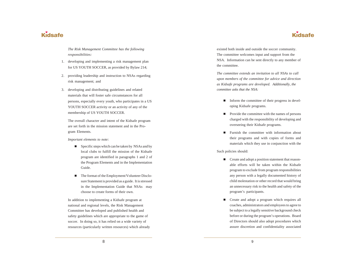*The Risk Management Committee has the following responsibilities:*

- 1. developing and implementing a risk management plan for US YOUTH SOCCER, as provided by Bylaw 214;
- 2. providing leadership and instruction to NSAs regarding risk management; and
- 3. developing and distributing guidelines and related materials that will foster safe circumstances for all persons, especially every youth, who participates in a US YOUTH SOCCER activity or an activity of any of the membership of US YOUTH SOCCER.

The overall character and intent of the Kidsafe program are set forth in the mission statement and in the Program Elements.

*Important elements to note:*

- $\blacksquare$  Specific steps which can be taken by NSAs and by local clubs to fulfill the mission of the Kidsafe program are identified in paragraphs 1 and 2 of the Program Elements and in the Implementation Guide.
- The format of the Employment/Volunteer Disclosure Statement is provided as a guide. It is stressed in the Implementation Guide that NSAs may choose to create forms of their own.

In addition to implementing a Kidsafe program at national and regional levels, the Risk Management Committee has developed and published health and safety guidelines which are appropriate to the game of soccer. In doing so, it has relied on a wide variety of resources (particularly written resources) which already

8

existed both inside and outside the soccer community. The committee welcomes input and support from the NSA. Information can be sent directly to any member of the committee.

*The committee extends an invitation to all NSAs to call upon members of the committee for advice and direction as Kidsafe programs are developed. Additionally, the committee asks that the NSA:*

- Inform the committee of their progress in developing Kidsafe programs.
- **Provide the committee with the names of persons** charged with the responsibility of developing and overseeing their Kidsafe programs.
- **Furnish the committee with information about** their programs and with copies of forms and materials which they use in conjunction with the

Such policies should:

- Create and adopt a position statement that reasonable efforts will be taken within the Kidsafe program to exclude from program responsibilities any person with a legally documented history of child molestation or other record that would bring an unnecessary risk to the health and safety of the program's participants.
- Create and adopt a program which requires all coaches, administrators and employees to agree to be subject to a legally sensitive background check before or during the program's operations. Board of Directors should also adopt procedures which assure discretion and confidentiality associated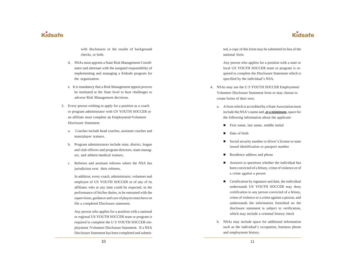with disclosures or the results of background checks, or both.

- d. NSAs must appoint a State Risk Management Coordinator and alternate with the assigned responsibility of implementing and managing a Kidsafe program for the organization.
- e. It is mandatory that a Risk Management appeal process be instituted at the State level to hear challenges to adverse Risk Management decisions.
- 3. Every person wishing to apply for a position as a coach or program administrator with US YOUTH SOCCER or an affiliate must complete an Employment/Volunteer Disclosure Statement.
	- a. Coaches include head coaches, assistant coaches and team/player trainers.
	- b. Program administrators include state, district, league and club officers and program directors, team managers, and athletic/medical trainers.
	- c. Referees and assistant referees where the NSA has jurisdiction over their referees.

In addition, every coach, administrator, volunteer and employee of US YOUTH SOCCER or of any of its affiliates who at any time could be expected, in the performance of his/her duties, to be entrusted with the supervision, guidance and care of players must have on file a completed Disclosure statement.

Any person who applies for a position with a national or regional US YOUTH SOCCER team or program is required to complete the U S YOUTH SOCCER employment /Volunteer Disclosure Statement. If a NSA Disclosure Statement has been completed and submitted, a copy of this form may be submitted in lieu of the national form.

Any person who applies for a position with a state or local US YOUTH SOCCER team or program is required to complete the Disclosure Statement which is specified by the individual's NSA.

- 4. NSAs may use the U S YOUTH SOCCER Employment/ Volunteer Disclosure Statement form or may choose to create forms of their own.
	- a. A form which is accredited by a State Association must include the NSA's name and, **at a minimum**, space for the following information about the applicant:
		- First name, last name, middle initial
		- Date of birth
		- Social security number or driver's license or state issued identification or passport number
		- Residence address and phone
		- Answers to questions whether the individual has been convicted of a felony, crime of violence or of a crime against a person
		- **EXECUTE:** Certification by signature and date, the individual understands US YOUTH SOCCER may deny certification to any person convicted of a felony, crime of violence or a crime against a person, and understands the information furnished on the disclosure statement is subject to verification, which may include a criminal history check
	- b. NSAs may include space for additional information such as the individual's occupation, business phone and employment history.

## Kidsafe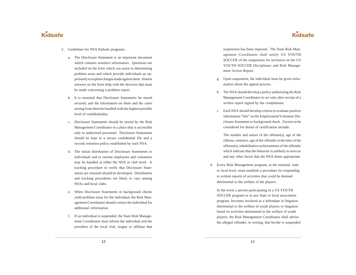- 5. Guidelines for NSA Kidsafe programs:
	- a. The Disclosure Statement is an important document which contains sensitive information. Questions are included on the form which can assist in determining problem areas and which provide individuals an opportunity to explain charges made against them. Honest answers on the form help with the decision that must be made concerning a problem report.
	- b. It is essential that Disclosure Statements be stored securely and the information on them and the cases arising from them be handled with the highest possible level of confidentiality.
	- c. Disclosure Statements should be stored by the Risk Management Coordinator in a place that is accessible only to authorized personnel. Disclosure Statements should be kept in a secure confidential file and a records retention policy established by each NSA.
	- d. The initial distribution of Disclosure Statements to individuals and to current employees and volunteers may be handled at either the NSA or club level. A tracking procedure to verify that Disclosure Statements are returned should be developed. Distribution and tracking procedures are likely to vary among NSAs and local clubs.
	- e. When Disclosure Statements or background checks yield problem areas for the individual, the Risk Management Coordinator should contact the individual for additional information.
	- f. If an individual is suspended, the State Risk Management Coordinator must inform the individual and the president of the local club, league or affiliate that

suspension has been imposed. The State Risk Management Coordinator shall notify US YOUTH SOCCER of the suspension for inclusion on the US YOUTH SOCCER Disciplinary and Risk Management Action Report.

- g. Upon suspension, the individual must be given information about the appeal process.
- h. The NSA should develop a policy authorizing the Risk Management Coordinator to act only after receipt of a written report signed by the complainant.
- i. Each NSA should develop criteria to evaluate positive information "hits" on the Employment/Volunteer Disclosure Statement or background check. Factors to be considered for denial of certification include:

The number and nature of the offense(s), age of the offense, sentence, age of the offender at the time of the offense(s), rehabilitative achievements of the offender which indicate that the behavior is unlikely to reoccur and any other factor that the NSA deem appropriate.

6. Every Risk Management program, at the national, state or local level, must establish a procedure for responding to written reports of activities that could be deemed detrimental to the welfare of the players.

In the event a person participating in a US YOUTH SOCCER program or in any State or local association program, becomes involved as a defendant in litigation detrimental to the welfare of youth players or litigation based on activities detrimental to the welfare of youth players, the Risk Management Coordinator shall advise the alleged offender, in writing, that he/she is suspended

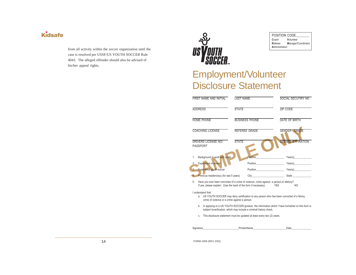from all activity within the soccer organization until the case is resolved per USSF/US YOUTH SOCCER Rule 4043. The alleged offender should also be advised of his/her appeal rights.



| POSITION CODE  |                     |
|----------------|---------------------|
| Coach          | Volunteer           |
| Referee        | Manager/Coordinator |
| Administration |                     |

### Employment/Volunteer **Disclosure Statement**

| <b>FIRST NAME AND INITIAL</b>                                              | <b>LAST NAME</b>                                                                                                                                                         | <b>SOCIAL SECUTIRY NO</b>                                                                                                                                                                                                      |
|----------------------------------------------------------------------------|--------------------------------------------------------------------------------------------------------------------------------------------------------------------------|--------------------------------------------------------------------------------------------------------------------------------------------------------------------------------------------------------------------------------|
| <b>ADDRESS</b>                                                             | <b>STATE</b>                                                                                                                                                             | ZIP CODE                                                                                                                                                                                                                       |
| <b>HOME PHONE</b>                                                          | <b>BUSINESS PHONE</b>                                                                                                                                                    | DATE OF BIRTH                                                                                                                                                                                                                  |
| <b>COACHING LICENSE</b>                                                    | REFEREE GRADE                                                                                                                                                            | GENDER GRADE                                                                                                                                                                                                                   |
| DRIVERS LICENSE NO/<br>PASSPORT                                            | <b>STATE</b>                                                                                                                                                             | <b>LICENSE EXPIRATION</b>                                                                                                                                                                                                      |
| Background in work with youth<br>1.                                        |                                                                                                                                                                          | Position Position Position Providence Providence Providence Providence Providence Providence Providence Providence Providence Providence Providence Providence Providence Providence Providence Providence Providence Providen |
| Experience in soccer<br>2.                                                 |                                                                                                                                                                          | Position Year(s)                                                                                                                                                                                                               |
| 3.<br><b>Experience youth soccer</b>                                       |                                                                                                                                                                          |                                                                                                                                                                                                                                |
| 4.<br>Previous residence(s) (for last 5 years)                             |                                                                                                                                                                          | City State                                                                                                                                                                                                                     |
| 5.<br>If yes, please explain: (Use the back of the form if necessary)      | Have you ever been convicted of a crime of violence, crime against a person, or afelony?                                                                                 | <b>YES</b><br>NO.                                                                                                                                                                                                              |
| I understand that:<br>а.<br>crime of violence or a crime against a person. | US YOUTH SOCCER may deny certification to any person who has been convicted of a felony,                                                                                 |                                                                                                                                                                                                                                |
| b.                                                                         | In applying or a US YOUTH SOCCER [postion, the information which I have furnished on this form is<br>subject toverification, which may include a criminal history check. |                                                                                                                                                                                                                                |
| C.                                                                         | This disclosure statement must be updated at least every two (2) years.                                                                                                  |                                                                                                                                                                                                                                |
| Signature <b>Security Printed Name</b> Printed Name                        |                                                                                                                                                                          | Date                                                                                                                                                                                                                           |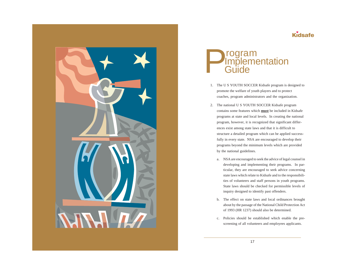



- 1. The U S YOUTH SOCCER Kidsafe program is designed to promote the welfare of youth players and to protect coaches, program administrators and the organization.
- 2. The national U S YOUTH SOCCER Kidsafe program contains some features which **must** be included in Kidsafe programs at state and local levels. In creating the national program, however, it is recognized that significant differences exist among state laws and that it is difficult to structure a detailed program which can be applied successfully in every state. NSA are encouraged to develop their programs beyond the minimum levels which are provided by the national guidelines.
	- a. NSA are encouraged to seek the advice of legal counsel in developing and implementing their programs. In particular, they are encouraged to seek advice concerning state laws which relate to Kidsafe and to the responsibilities of volunteers and staff persons in youth programs. State laws should be checked for permissible levels of inquiry designed to identify past offenders.
	- b. The effect on state laws and local ordinances brought about by the passage of the National Child Protection Act of 1993 (HR 1237) should also be determined.
	- c. Policies should be established which enable the prescreening of all volunteers and employees applicants.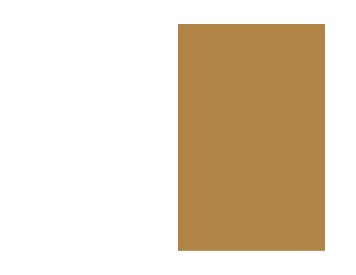